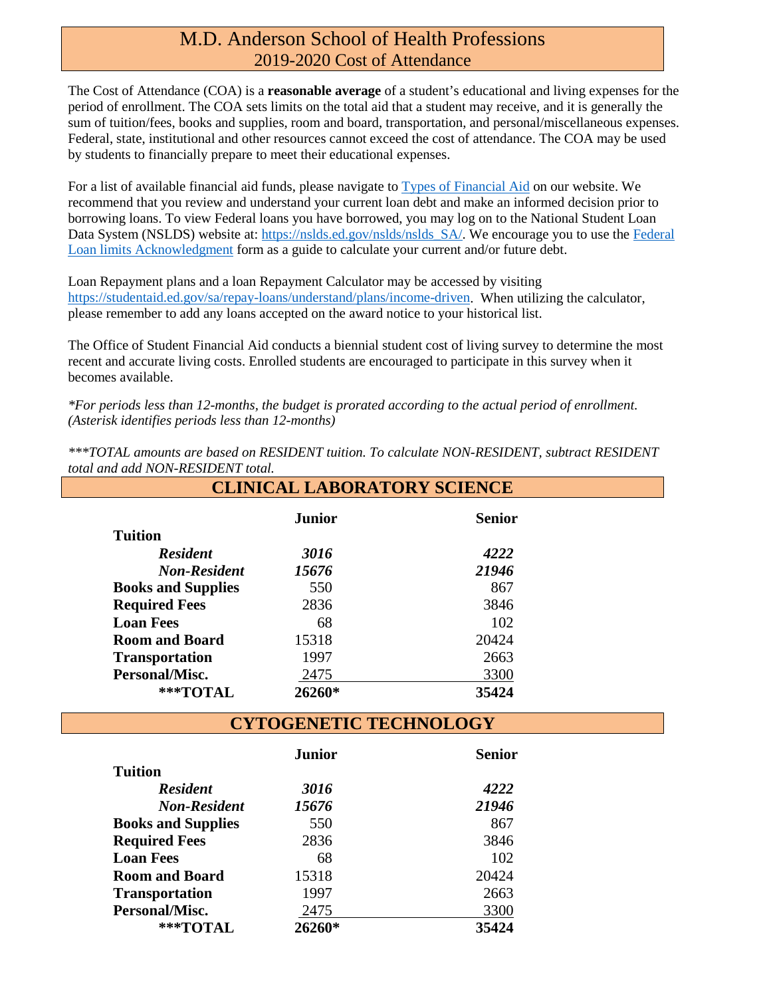#### M.D. Anderson School of Health Professions 2019-2020 Cost of Attendance

The Cost of Attendance (COA) is a **reasonable average** of a student's educational and living expenses for the period of enrollment. The COA sets limits on the total aid that a student may receive, and it is generally the sum of tuition/fees, books and supplies, room and board, transportation, and personal/miscellaneous expenses. Federal, state, institutional and other resources cannot exceed the cost of attendance. The COA may be used by students to financially prepare to meet their educational expenses.

For a list of available financial aid funds, please navigate to [Types of Financial Aid](https://www.uth.edu/sfs/index.htm) on our website. We recommend that you review and understand your current loan debt and make an informed decision prior to borrowing loans. To view Federal loans you have borrowed, you may log on to the National Student Loan Data System (NSLDS) website at[: https://nslds.ed.gov/nslds/nslds\\_SA/.](https://nslds.ed.gov/nslds/nslds_SA/) We encourage you to use the Federal [Loan limits Acknowledgment](https://www.uth.edu/sfs/documents/federal_loan_limit_acknowledgment_18-19.pdf) form as a guide to calculate your current and/or future debt.

Loan Repayment plans and a loan Repayment Calculator may be accessed by visiting [https://studentaid.ed.gov/sa/repay-loans/understand/plans/income-driven.](https://studentaid.ed.gov/sa/repay-loans/understand/plans/income-driven) When utilizing the calculator, please remember to add any loans accepted on the award notice to your historical list.

The Office of Student Financial Aid conducts a biennial student cost of living survey to determine the most recent and accurate living costs. Enrolled students are encouraged to participate in this survey when it becomes available.

*\*For periods less than 12-months, the budget is prorated according to the actual period of enrollment. (Asterisk identifies periods less than 12-months)*

*\*\*\*TOTAL amounts are based on RESIDENT tuition. To calculate NON-RESIDENT, subtract RESIDENT total and add NON-RESIDENT total.* **CLINICAL LABORATORY SCIENCE**

|                           | Junior | <b>Senior</b> |
|---------------------------|--------|---------------|
| <b>Tuition</b>            |        |               |
| <b>Resident</b>           | 3016   | 4222          |
| <b>Non-Resident</b>       | 15676  | 21946         |
| <b>Books and Supplies</b> | 550    | 867           |
| <b>Required Fees</b>      | 2836   | 3846          |
| <b>Loan Fees</b>          | 68     | 102           |
| <b>Room and Board</b>     | 15318  | 20424         |
| <b>Transportation</b>     | 1997   | 2663          |
| Personal/Misc.            | 2475   | 3300          |
| ***TOTAL                  | 26260* | 35424         |

**CYTOGENETIC TECHNOLOGY**

|                           | <b>Junior</b> | <b>Senior</b> |
|---------------------------|---------------|---------------|
| <b>Tuition</b>            |               |               |
| <b>Resident</b>           | 3016          | 4222          |
| <b>Non-Resident</b>       | 15676         | 21946         |
| <b>Books and Supplies</b> | 550           | 867           |
| <b>Required Fees</b>      | 2836          | 3846          |
| <b>Loan Fees</b>          | 68            | 102           |
| <b>Room and Board</b>     | 15318         | 20424         |
| <b>Transportation</b>     | 1997          | 2663          |
| Personal/Misc.            | 2475          | 3300          |
| $***$ TOTAL               | 26260*        | 35424         |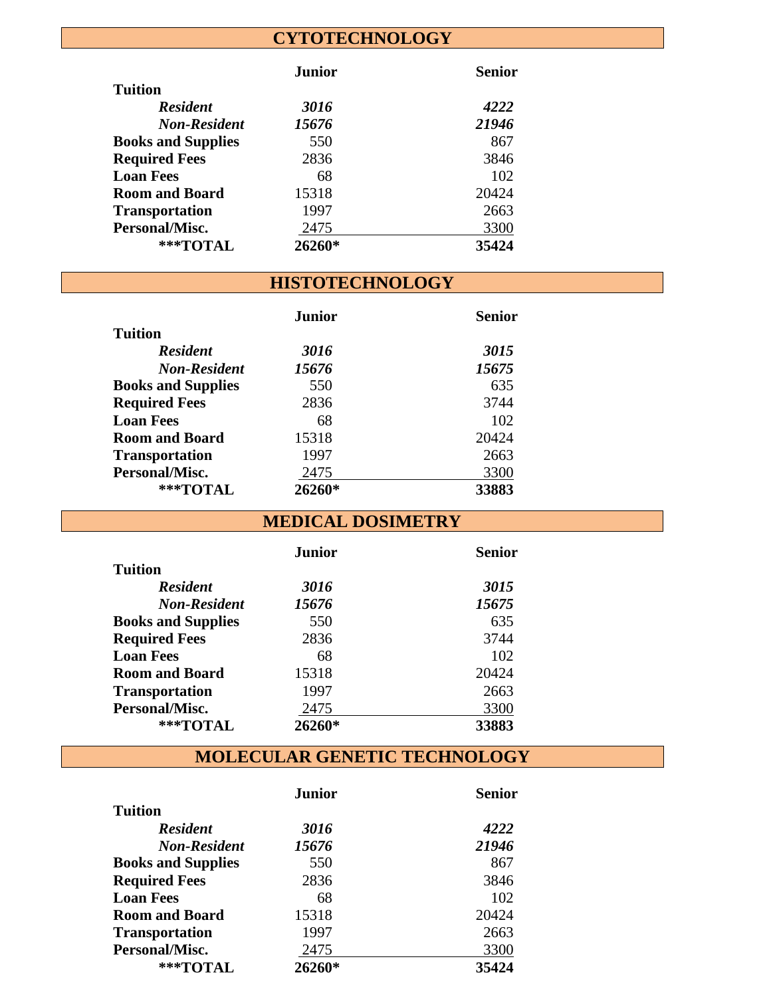## **CYTOTECHNOLOGY**

|                           | Junior | <b>Senior</b> |
|---------------------------|--------|---------------|
| <b>Tuition</b>            |        |               |
| <b>Resident</b>           | 3016   | 4222          |
| <b>Non-Resident</b>       | 15676  | 21946         |
| <b>Books and Supplies</b> | 550    | 867           |
| <b>Required Fees</b>      | 2836   | 3846          |
| <b>Loan Fees</b>          | 68     | 102           |
| <b>Room and Board</b>     | 15318  | 20424         |
| <b>Transportation</b>     | 1997   | 2663          |
| Personal/Misc.            | 2475   | 3300          |
| $***$ TOTAL               | 26260* | 35424         |

### **HISTOTECHNOLOGY**

|                           | <b>Junior</b> | <b>Senior</b> |
|---------------------------|---------------|---------------|
| <b>Tuition</b>            |               |               |
| <b>Resident</b>           | 3016          | 3015          |
| <b>Non-Resident</b>       | 15676         | 15675         |
| <b>Books and Supplies</b> | 550           | 635           |
| <b>Required Fees</b>      | 2836          | 3744          |
| <b>Loan Fees</b>          | 68            | 102           |
| <b>Room and Board</b>     | 15318         | 20424         |
| <b>Transportation</b>     | 1997          | 2663          |
| Personal/Misc.            | 2475          | 3300          |
| ***TOTAL                  | 26260*        | 33883         |

**MEDICAL DOSIMETRY**

|                           | Junior | Senior |
|---------------------------|--------|--------|
| Tuition                   |        |        |
| <b>Resident</b>           | 3016   | 3015   |
| <b>Non-Resident</b>       | 15676  | 15675  |
| <b>Books and Supplies</b> | 550    | 635    |
| <b>Required Fees</b>      | 2836   | 3744   |
| <b>Loan Fees</b>          | 68     | 102    |
| <b>Room and Board</b>     | 15318  | 20424  |
| <b>Transportation</b>     | 1997   | 2663   |
| Personal/Misc.            | 2475   | 3300   |
| ***TOTAL                  | 26260* | 33883  |

**MOLECULAR GENETIC TECHNOLOGY**

|                           | Junior | Senior |
|---------------------------|--------|--------|
| <b>Tuition</b>            |        |        |
| <b>Resident</b>           | 3016   | 4222   |
| <b>Non-Resident</b>       | 15676  | 21946  |
| <b>Books and Supplies</b> | 550    | 867    |
| <b>Required Fees</b>      | 2836   | 3846   |
| <b>Loan Fees</b>          | 68     | 102    |
| <b>Room and Board</b>     | 15318  | 20424  |
| <b>Transportation</b>     | 1997   | 2663   |
| Personal/Misc.            | 2475   | 3300   |
| $***$ TOTAL               | 26260* | 35424  |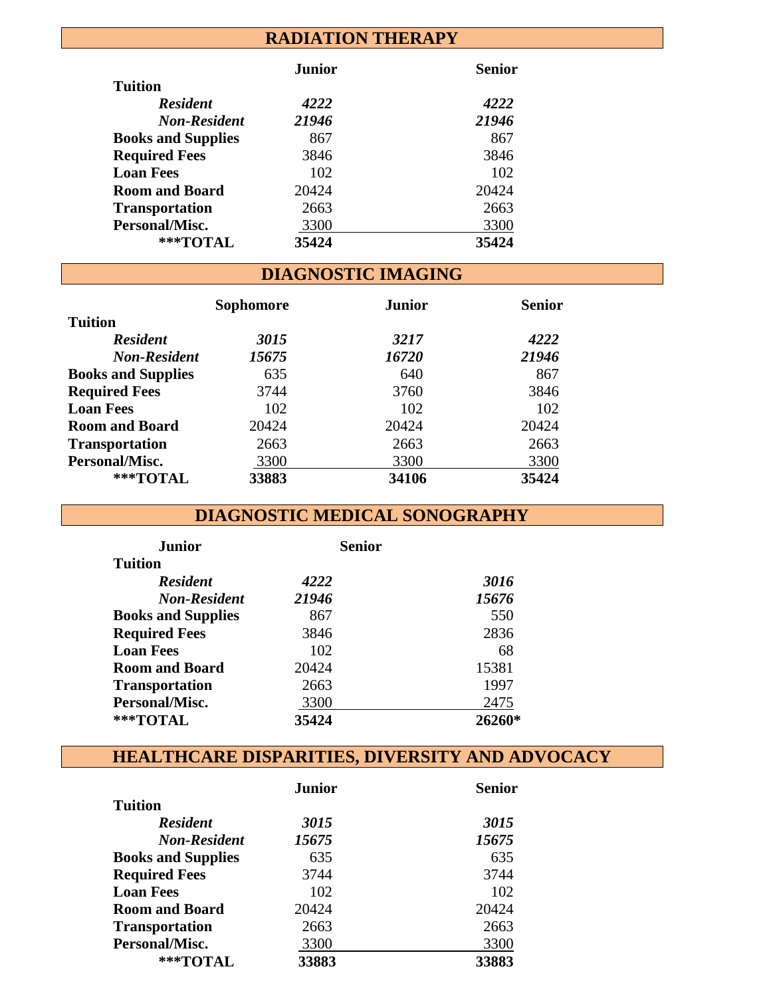## **RADIATION THERAPY**

|                           | <b>Junior</b> | <b>Senior</b> |
|---------------------------|---------------|---------------|
| <b>Tuition</b>            |               |               |
| <b>Resident</b>           | 4222          | 4222          |
| <b>Non-Resident</b>       | 21946         | 21946         |
| <b>Books and Supplies</b> | 867           | 867           |
| <b>Required Fees</b>      | 3846          | 3846          |
| <b>Loan Fees</b>          | 102           | 102           |
| <b>Room and Board</b>     | 20424         | 20424         |
| <b>Transportation</b>     | 2663          | 2663          |
| Personal/Misc.            | 3300          | 3300          |
| ***TOTAL                  | 35424         | 35424         |

# **DIAGNOSTIC IMAGING**

|                           | Sophomore | <b>Junior</b> | <b>Senior</b> |
|---------------------------|-----------|---------------|---------------|
| <b>Tuition</b>            |           |               |               |
| <b>Resident</b>           | 3015      | 3217          | 4222          |
| <b>Non-Resident</b>       | 15675     | 16720         | 21946         |
| <b>Books and Supplies</b> | 635       | 640           | 867           |
| <b>Required Fees</b>      | 3744      | 3760          | 3846          |
| <b>Loan Fees</b>          | 102       | 102           | 102           |
| <b>Room and Board</b>     | 20424     | 20424         | 20424         |
| <b>Transportation</b>     | 2663      | 2663          | 2663          |
| Personal/Misc.            | 3300      | 3300          | 3300          |
| ***TOTAL                  | 33883     | 34106         | 35424         |

## **DIAGNOSTIC MEDICAL SONOGRAPHY**

| <b>Junior</b>             | <b>Senior</b> |        |
|---------------------------|---------------|--------|
| <b>Tuition</b>            |               |        |
| <b>Resident</b>           | 4222          | 3016   |
| <b>Non-Resident</b>       | 21946         | 15676  |
| <b>Books and Supplies</b> | 867           | 550    |
| <b>Required Fees</b>      | 3846          | 2836   |
| <b>Loan Fees</b>          | 102           | 68     |
| <b>Room and Board</b>     | 20424         | 15381  |
| <b>Transportation</b>     | 2663          | 1997   |
| Personal/Misc.            | 3300          | 2475   |
| ***TOTAL                  | 35424         | 26260* |

## **HEALTHCARE DISPARITIES, DIVERSITY AND ADVOCACY**

|                           | <b>Junior</b> | <b>Senior</b> |
|---------------------------|---------------|---------------|
| <b>Tuition</b>            |               |               |
| <b>Resident</b>           | 3015          | 3015          |
| <b>Non-Resident</b>       | 15675         | 15675         |
| <b>Books and Supplies</b> | 635           | 635           |
| <b>Required Fees</b>      | 3744          | 3744          |
| <b>Loan Fees</b>          | 102           | 102           |
| <b>Room and Board</b>     | 20424         | 20424         |
| <b>Transportation</b>     | 2663          | 2663          |
| Personal/Misc.            | 3300          | 3300          |
| ***TOTAL                  | 33883         | 33883         |